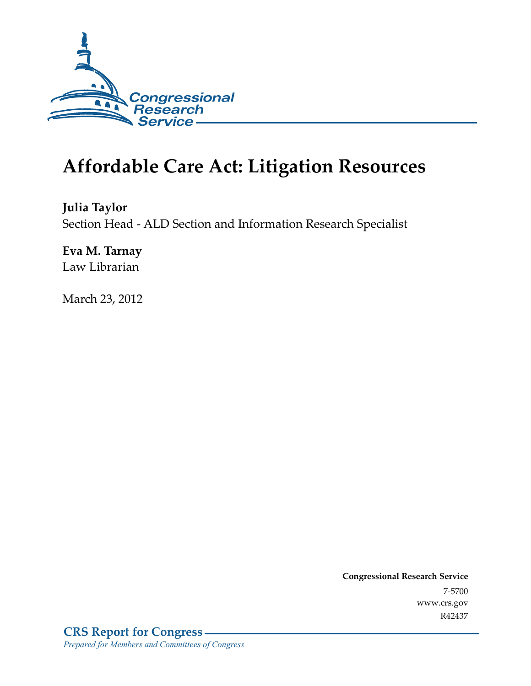

# **Affordable Care Act: Litigation Resources**

**Julia Taylor**  Section Head - ALD Section and Information Research Specialist

**Eva M. Tarnay**  Law Librarian

March 23, 2012

**Congressional Research Service**  7-5700 www.crs.gov R42437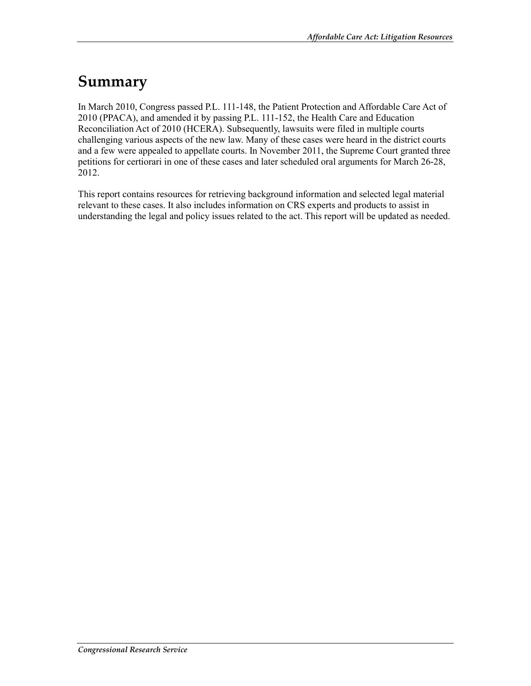## **Summary**

In March 2010, Congress passed P.L. 111-148, the Patient Protection and Affordable Care Act of 2010 (PPACA), and amended it by passing P.L. 111-152, the Health Care and Education Reconciliation Act of 2010 (HCERA). Subsequently, lawsuits were filed in multiple courts challenging various aspects of the new law. Many of these cases were heard in the district courts and a few were appealed to appellate courts. In November 2011, the Supreme Court granted three petitions for certiorari in one of these cases and later scheduled oral arguments for March 26-28, 2012.

This report contains resources for retrieving background information and selected legal material relevant to these cases. It also includes information on CRS experts and products to assist in understanding the legal and policy issues related to the act. This report will be updated as needed.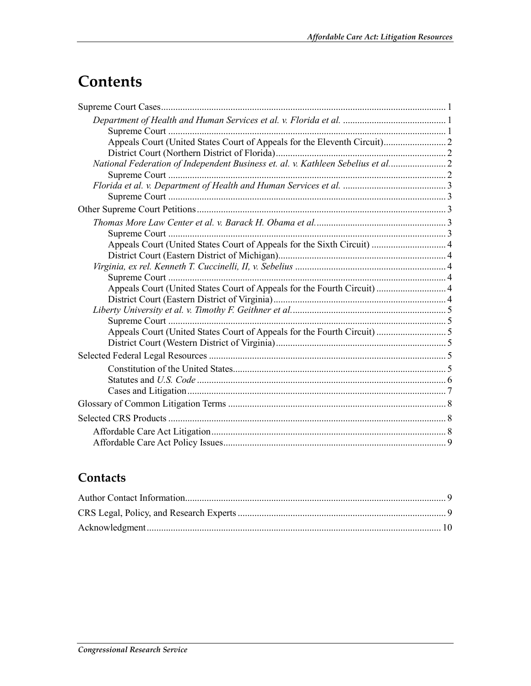## Contents

| National Federation of Independent Business et. al. v. Kathleen Sebelius et al2 |  |
|---------------------------------------------------------------------------------|--|
|                                                                                 |  |
|                                                                                 |  |
|                                                                                 |  |
|                                                                                 |  |
|                                                                                 |  |
|                                                                                 |  |
| Appeals Court (United States Court of Appeals for the Sixth Circuit)  4         |  |
|                                                                                 |  |
|                                                                                 |  |
|                                                                                 |  |
| Appeals Court (United States Court of Appeals for the Fourth Circuit)  4        |  |
|                                                                                 |  |
|                                                                                 |  |
|                                                                                 |  |
|                                                                                 |  |
|                                                                                 |  |
|                                                                                 |  |
|                                                                                 |  |
|                                                                                 |  |
|                                                                                 |  |
|                                                                                 |  |
|                                                                                 |  |
|                                                                                 |  |
|                                                                                 |  |
|                                                                                 |  |

## Contacts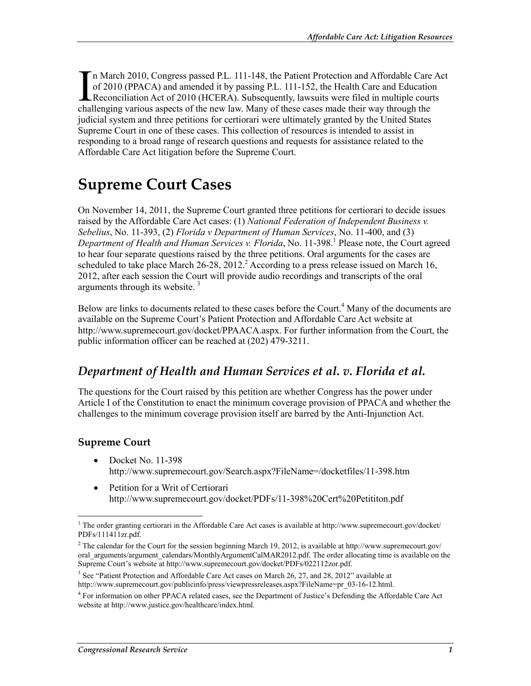n March 2010, Congress passed P.L. 111-148, the Patient Protection and Affordable Care Act of 2010 (PPACA) and amended it by passing P.L. 111-152, the Health Care and Education In March 2010, Congress passed P.L. 111-148, the Patient Protection and Affordable Care A of 2010 (PPACA) and amended it by passing P.L. 111-152, the Health Care and Education Reconciliation Act of 2010 (HCERA). Subsequent challenging various aspects of the new law. Many of these cases made their way through the judicial system and three petitions for certiorari were ultimately granted by the United States Supreme Court in one of these cases. This collection of resources is intended to assist in responding to a broad range of research questions and requests for assistance related to the Affordable Care Act litigation before the Supreme Court.

## **Supreme Court Cases**

On November 14, 2011, the Supreme Court granted three petitions for certiorari to decide issues raised by the Affordable Care Act cases: (1) *National Federation of Independent Business v. Sebelius*, No. 11-393, (2) *Florida v Department of Human Services*, No. 11-400, and (3) Department of Health and Human Services v. Florida, No. 11-398.<sup>1</sup> Please note, the Court agreed to hear four separate questions raised by the three petitions. Oral arguments for the cases are scheduled to take place March  $26-28$ ,  $2012$ .<sup>2</sup> According to a press release issued on March 16, 2012, after each session the Court will provide audio recordings and transcripts of the oral arguments through its website. 3

Below are links to documents related to these cases before the Court.<sup>4</sup> Many of the documents are available on the Supreme Court's Patient Protection and Affordable Care Act website at http://www.supremecourt.gov/docket/PPAACA.aspx. For further information from the Court, the public information officer can be reached at (202) 479-3211.

### *Department of Health and Human Services et al. v. Florida et al.*

The questions for the Court raised by this petition are whether Congress has the power under Article I of the Constitution to enact the minimum coverage provision of PPACA and whether the challenges to the minimum coverage provision itself are barred by the Anti-Injunction Act.

#### **Supreme Court**

1

- Docket No. 11-398 http://www.supremecourt.gov/Search.aspx?FileName=/docketfiles/11-398.htm
- Petition for a Writ of Certiorari http://www.supremecourt.gov/docket/PDFs/11-398%20Cert%20Petititon.pdf

<sup>&</sup>lt;sup>1</sup> The order granting certiorari in the Affordable Care Act cases is available at http://www.supremecourt.gov/docket/ PDFs/111411zr.pdf.

<sup>&</sup>lt;sup>2</sup> The calendar for the Court for the session beginning March 19, 2012, is available at http://www.supremecourt.gov/ oral\_arguments/argument\_calendars/MonthlyArgumentCalMAR2012.pdf. The order allocating time is available on the Supreme Court's website at http://www.supremecourt.gov/docket/PDFs/022112zor.pdf.

 $3$  See "Patient Protection and Affordable Care Act cases on March 26, 27, and 28, 2012" available at http://www.supremecourt.gov/publicinfo/press/viewpressreleases.aspx?FileName=pr\_03-16-12.html.

<sup>4</sup> For information on other PPACA related cases, see the Department of Justice's Defending the Affordable Care Act website at http://www.justice.gov/healthcare/index.html.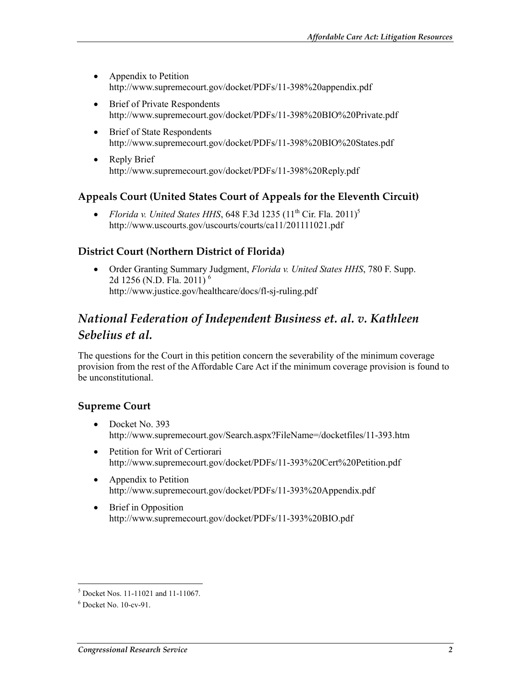- Appendix to Petition http://www.supremecourt.gov/docket/PDFs/11-398%20appendix.pdf
- Brief of Private Respondents http://www.supremecourt.gov/docket/PDFs/11-398%20BIO%20Private.pdf
- Brief of State Respondents http://www.supremecourt.gov/docket/PDFs/11-398%20BIO%20States.pdf
- Reply Brief http://www.supremecourt.gov/docket/PDFs/11-398%20Reply.pdf

#### **Appeals Court (United States Court of Appeals for the Eleventh Circuit)**

• *Florida v. United States HHS*, 648 F.3d 1235  $(11<sup>th</sup> Cir. Fla. 2011)<sup>5</sup>$ http://www.uscourts.gov/uscourts/courts/ca11/201111021.pdf

#### **District Court (Northern District of Florida)**

• Order Granting Summary Judgment, *Florida v. United States HHS*, 780 F. Supp. 2d 1256 (N.D. Fla. 2011)<sup>6</sup> http://www.justice.gov/healthcare/docs/fl-sj-ruling.pdf

### *National Federation of Independent Business et. al. v. Kathleen Sebelius et al.*

The questions for the Court in this petition concern the severability of the minimum coverage provision from the rest of the Affordable Care Act if the minimum coverage provision is found to be unconstitutional.

#### **Supreme Court**

- Docket No. 393 http://www.supremecourt.gov/Search.aspx?FileName=/docketfiles/11-393.htm
- Petition for Writ of Certiorari http://www.supremecourt.gov/docket/PDFs/11-393%20Cert%20Petition.pdf
- Appendix to Petition http://www.supremecourt.gov/docket/PDFs/11-393%20Appendix.pdf
- Brief in Opposition http://www.supremecourt.gov/docket/PDFs/11-393%20BIO.pdf

<sup>1</sup> 5 Docket Nos. 11-11021 and 11-11067.

<sup>6</sup> Docket No. 10-cv-91.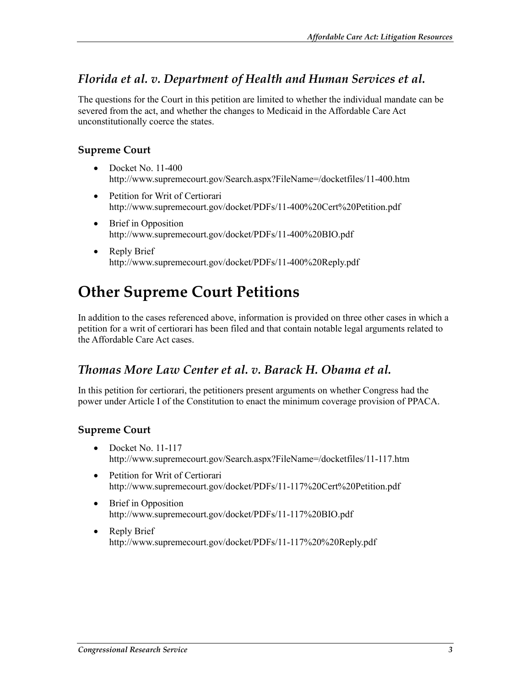### *Florida et al. v. Department of Health and Human Services et al.*

The questions for the Court in this petition are limited to whether the individual mandate can be severed from the act, and whether the changes to Medicaid in the Affordable Care Act unconstitutionally coerce the states.

#### **Supreme Court**

- Docket No. 11-400 http://www.supremecourt.gov/Search.aspx?FileName=/docketfiles/11-400.htm
- Petition for Writ of Certiorari http://www.supremecourt.gov/docket/PDFs/11-400%20Cert%20Petition.pdf
- Brief in Opposition http://www.supremecourt.gov/docket/PDFs/11-400%20BIO.pdf
- Reply Brief http://www.supremecourt.gov/docket/PDFs/11-400%20Reply.pdf

## **Other Supreme Court Petitions**

In addition to the cases referenced above, information is provided on three other cases in which a petition for a writ of certiorari has been filed and that contain notable legal arguments related to the Affordable Care Act cases.

#### *Thomas More Law Center et al. v. Barack H. Obama et al.*

In this petition for certiorari, the petitioners present arguments on whether Congress had the power under Article I of the Constitution to enact the minimum coverage provision of PPACA.

#### **Supreme Court**

- Docket No. 11-117 http://www.supremecourt.gov/Search.aspx?FileName=/docketfiles/11-117.htm
- Petition for Writ of Certiorari http://www.supremecourt.gov/docket/PDFs/11-117%20Cert%20Petition.pdf
- Brief in Opposition http://www.supremecourt.gov/docket/PDFs/11-117%20BIO.pdf
- Reply Brief http://www.supremecourt.gov/docket/PDFs/11-117%20%20Reply.pdf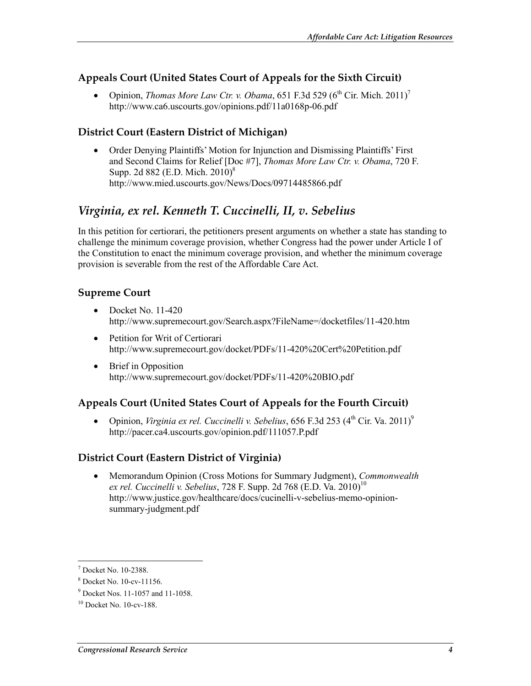#### **Appeals Court (United States Court of Appeals for the Sixth Circuit)**

• Opinion, *Thomas More Law Ctr. v. Obama*, 651 F.3d 529 ( $6^{th}$  Cir. Mich. 2011)<sup>7</sup> http://www.ca6.uscourts.gov/opinions.pdf/11a0168p-06.pdf

#### **District Court (Eastern District of Michigan)**

• Order Denying Plaintiffs' Motion for Injunction and Dismissing Plaintiffs' First and Second Claims for Relief [Doc #7], *Thomas More Law Ctr. v. Obama*, 720 F. Supp. 2d 882 (E.D. Mich. 2010)<sup>8</sup> http://www.mied.uscourts.gov/News/Docs/09714485866.pdf

### *Virginia, ex rel. Kenneth T. Cuccinelli, II, v. Sebelius*

In this petition for certiorari, the petitioners present arguments on whether a state has standing to challenge the minimum coverage provision, whether Congress had the power under Article I of the Constitution to enact the minimum coverage provision, and whether the minimum coverage provision is severable from the rest of the Affordable Care Act.

#### **Supreme Court**

- Docket No. 11-420 http://www.supremecourt.gov/Search.aspx?FileName=/docketfiles/11-420.htm
- Petition for Writ of Certiorari http://www.supremecourt.gov/docket/PDFs/11-420%20Cert%20Petition.pdf
- Brief in Opposition http://www.supremecourt.gov/docket/PDFs/11-420%20BIO.pdf

#### **Appeals Court (United States Court of Appeals for the Fourth Circuit)**

• Opinion, *Virginia ex rel. Cuccinelli v. Sebelius*, 656 F.3d 253 (4<sup>th</sup> Cir. Va. 2011)<sup>9</sup> http://pacer.ca4.uscourts.gov/opinion.pdf/111057.P.pdf

#### **District Court (Eastern District of Virginia)**

• Memorandum Opinion (Cross Motions for Summary Judgment), *Commonwealth ex rel. Cuccinelli v. Sebelius, 728 F. Supp. 2d 768 (E.D. Va. 2010)*<sup>10</sup> http://www.justice.gov/healthcare/docs/cucinelli-v-sebelius-memo-opinionsummary-judgment.pdf

 7 Docket No. 10-2388.

<sup>8</sup> Docket No. 10-cv-11156.

<sup>9</sup> Docket Nos. 11-1057 and 11-1058.

 $10$  Docket No.  $10$ -cv-188.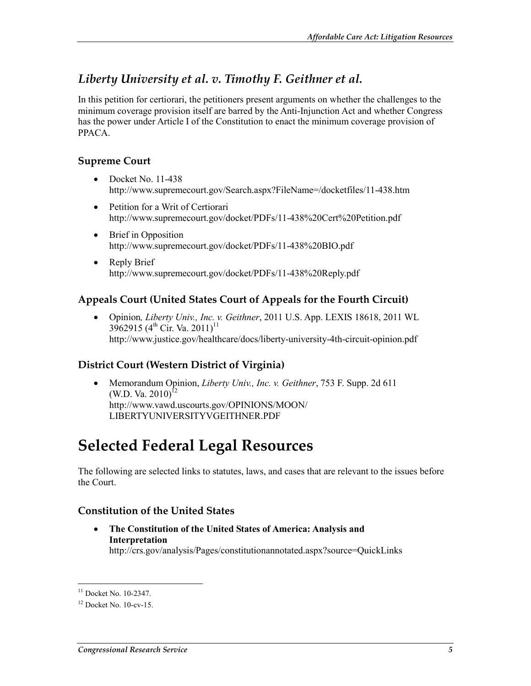### *Liberty University et al. v. Timothy F. Geithner et al.*

In this petition for certiorari, the petitioners present arguments on whether the challenges to the minimum coverage provision itself are barred by the Anti-Injunction Act and whether Congress has the power under Article I of the Constitution to enact the minimum coverage provision of PPACA.

#### **Supreme Court**

- Docket No. 11-438 http://www.supremecourt.gov/Search.aspx?FileName=/docketfiles/11-438.htm
- Petition for a Writ of Certiorari http://www.supremecourt.gov/docket/PDFs/11-438%20Cert%20Petition.pdf
- Brief in Opposition http://www.supremecourt.gov/docket/PDFs/11-438%20BIO.pdf
- Reply Brief http://www.supremecourt.gov/docket/PDFs/11-438%20Reply.pdf

#### **Appeals Court (United States Court of Appeals for the Fourth Circuit)**

• Opinion*, Liberty Univ., Inc. v. Geithner*, 2011 U.S. App. LEXIS 18618, 2011 WL 3962915 (4<sup>th</sup> Cir. Va. 2011)<sup>11</sup> http://www.justice.gov/healthcare/docs/liberty-university-4th-circuit-opinion.pdf

#### **District Court (Western District of Virginia)**

• Memorandum Opinion, *Liberty Univ., Inc. v. Geithner*, 753 F. Supp. 2d 611 (W.D. Va.  $2010$ <sup>12</sup> http://www.vawd.uscourts.gov/OPINIONS/MOON/ LIBERTYUNIVERSITYVGEITHNER.PDF

## **Selected Federal Legal Resources**

The following are selected links to statutes, laws, and cases that are relevant to the issues before the Court.

#### **Constitution of the United States**

• **The Constitution of the United States of America: Analysis and Interpretation** http://crs.gov/analysis/Pages/constitutionannotated.aspx?source=QuickLinks

1

 $11$  Docket No. 10-2347.

 $12$  Docket No.  $10$ -cv-15.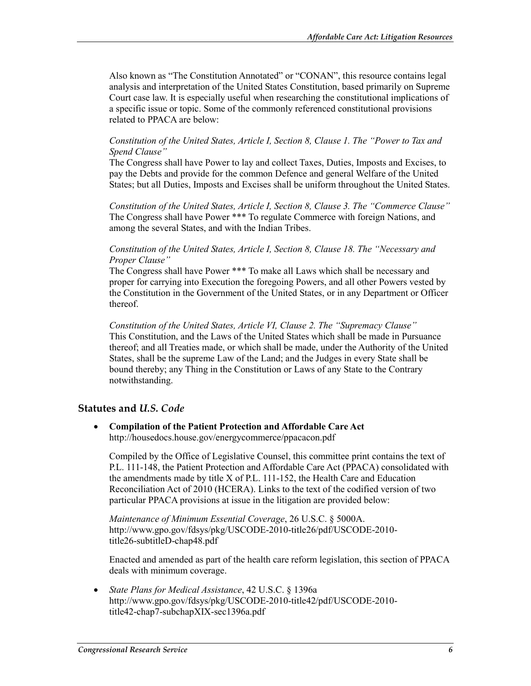Also known as "The Constitution Annotated" or "CONAN", this resource contains legal analysis and interpretation of the United States Constitution, based primarily on Supreme Court case law. It is especially useful when researching the constitutional implications of a specific issue or topic. Some of the commonly referenced constitutional provisions related to PPACA are below:

#### *Constitution of the United States, Article I, Section 8, Clause 1. The "Power to Tax and Spend Clause"*

The Congress shall have Power to lay and collect Taxes, Duties, Imposts and Excises, to pay the Debts and provide for the common Defence and general Welfare of the United States; but all Duties, Imposts and Excises shall be uniform throughout the United States.

*Constitution of the United States, Article I, Section 8, Clause 3. The "Commerce Clause"*  The Congress shall have Power \*\*\* To regulate Commerce with foreign Nations, and among the several States, and with the Indian Tribes.

#### *Constitution of the United States, Article I, Section 8, Clause 18. The "Necessary and Proper Clause"*

The Congress shall have Power \*\*\* To make all Laws which shall be necessary and proper for carrying into Execution the foregoing Powers, and all other Powers vested by the Constitution in the Government of the United States, or in any Department or Officer thereof.

*Constitution of the United States, Article VI, Clause 2. The "Supremacy Clause"* This Constitution, and the Laws of the United States which shall be made in Pursuance thereof; and all Treaties made, or which shall be made, under the Authority of the United States, shall be the supreme Law of the Land; and the Judges in every State shall be bound thereby; any Thing in the Constitution or Laws of any State to the Contrary notwithstanding.

#### **Statutes and** *U.S. Code*

• **Compilation of the Patient Protection and Affordable Care Act** http://housedocs.house.gov/energycommerce/ppacacon.pdf

Compiled by the Office of Legislative Counsel, this committee print contains the text of P.L. 111-148, the Patient Protection and Affordable Care Act (PPACA) consolidated with the amendments made by title X of P.L. 111-152, the Health Care and Education Reconciliation Act of 2010 (HCERA). Links to the text of the codified version of two particular PPACA provisions at issue in the litigation are provided below:

*Maintenance of Minimum Essential Coverage*, 26 U.S.C. § 5000A. http://www.gpo.gov/fdsys/pkg/USCODE-2010-title26/pdf/USCODE-2010 title26-subtitleD-chap48.pdf

Enacted and amended as part of the health care reform legislation, this section of PPACA deals with minimum coverage.

• *State Plans for Medical Assistance*, 42 U.S.C. § 1396a http://www.gpo.gov/fdsys/pkg/USCODE-2010-title42/pdf/USCODE-2010 title42-chap7-subchapXIX-sec1396a.pdf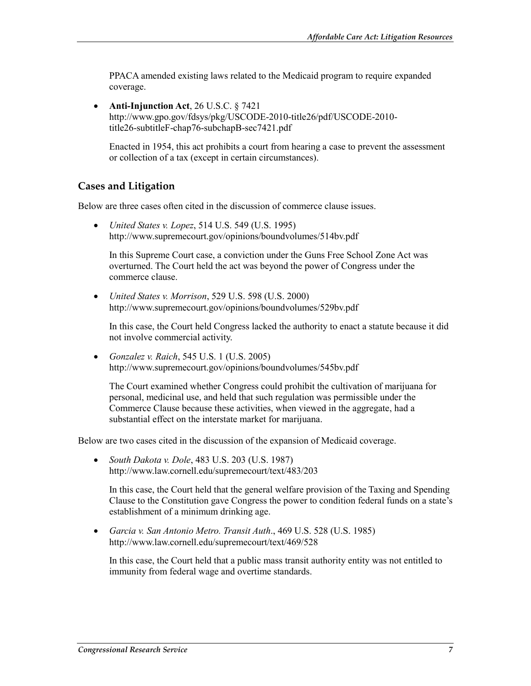PPACA amended existing laws related to the Medicaid program to require expanded coverage.

• **Anti-Injunction Act**, 26 U.S.C. § 7421 http://www.gpo.gov/fdsys/pkg/USCODE-2010-title26/pdf/USCODE-2010 title26-subtitleF-chap76-subchapB-sec7421.pdf

Enacted in 1954, this act prohibits a court from hearing a case to prevent the assessment or collection of a tax (except in certain circumstances).

#### **Cases and Litigation**

Below are three cases often cited in the discussion of commerce clause issues.

• *United States v. Lopez*, 514 U.S. 549 (U.S. 1995) http://www.supremecourt.gov/opinions/boundvolumes/514bv.pdf

In this Supreme Court case, a conviction under the Guns Free School Zone Act was overturned. The Court held the act was beyond the power of Congress under the commerce clause.

• *United States v. Morrison*, 529 U.S. 598 (U.S. 2000) http://www.supremecourt.gov/opinions/boundvolumes/529bv.pdf

In this case, the Court held Congress lacked the authority to enact a statute because it did not involve commercial activity.

• *Gonzalez v. Raich*, 545 U.S. 1 (U.S. 2005) http://www.supremecourt.gov/opinions/boundvolumes/545bv.pdf

The Court examined whether Congress could prohibit the cultivation of marijuana for personal, medicinal use, and held that such regulation was permissible under the Commerce Clause because these activities, when viewed in the aggregate, had a substantial effect on the interstate market for marijuana.

Below are two cases cited in the discussion of the expansion of Medicaid coverage.

• *South Dakota v. Dole*, 483 U.S. 203 (U.S. 1987) http://www.law.cornell.edu/supremecourt/text/483/203

In this case, the Court held that the general welfare provision of the Taxing and Spending Clause to the Constitution gave Congress the power to condition federal funds on a state's establishment of a minimum drinking age.

• *Garcia v. San Antonio Metro. Transit Auth*., 469 U.S. 528 (U.S. 1985) http://www.law.cornell.edu/supremecourt/text/469/528

In this case, the Court held that a public mass transit authority entity was not entitled to immunity from federal wage and overtime standards.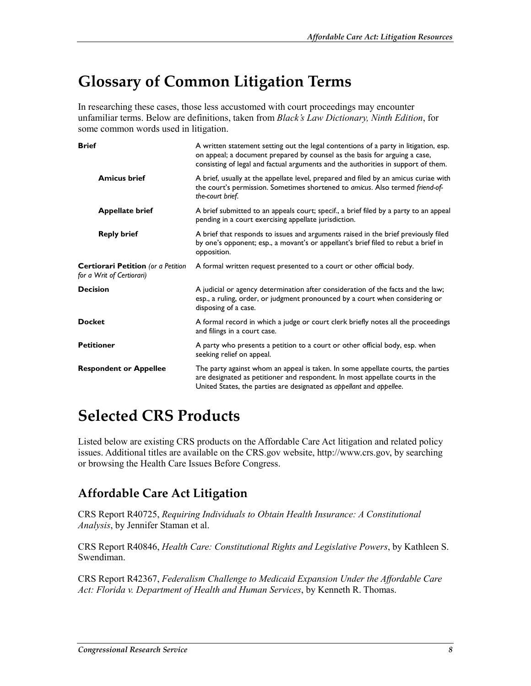## **Glossary of Common Litigation Terms**

In researching these cases, those less accustomed with court proceedings may encounter unfamiliar terms. Below are definitions, taken from *Black's Law Dictionary, Ninth Edition*, for some common words used in litigation.

| <b>Brief</b>                                                    | A written statement setting out the legal contentions of a party in litigation, esp.<br>on appeal; a document prepared by counsel as the basis for arguing a case,<br>consisting of legal and factual arguments and the authorities in support of them. |
|-----------------------------------------------------------------|---------------------------------------------------------------------------------------------------------------------------------------------------------------------------------------------------------------------------------------------------------|
| <b>Amicus brief</b>                                             | A brief, usually at the appellate level, prepared and filed by an amicus curiae with<br>the court's permission. Sometimes shortened to amicus. Also termed friend-of-<br>the-court brief.                                                               |
| <b>Appellate brief</b>                                          | A brief submitted to an appeals court; specif., a brief filed by a party to an appeal<br>pending in a court exercising appellate jurisdiction.                                                                                                          |
| <b>Reply brief</b>                                              | A brief that responds to issues and arguments raised in the brief previously filed<br>by one's opponent; esp., a movant's or appellant's brief filed to rebut a brief in<br>opposition.                                                                 |
| Certiorari Petition (or a Petition<br>for a Writ of Certiorari) | A formal written request presented to a court or other official body.                                                                                                                                                                                   |
| <b>Decision</b>                                                 | A judicial or agency determination after consideration of the facts and the law;<br>esp., a ruling, order, or judgment pronounced by a court when considering or<br>disposing of a case.                                                                |
| Docket                                                          | A formal record in which a judge or court clerk briefly notes all the proceedings<br>and filings in a court case.                                                                                                                                       |
| <b>Petitioner</b>                                               | A party who presents a petition to a court or other official body, esp. when<br>seeking relief on appeal.                                                                                                                                               |
| <b>Respondent or Appellee</b>                                   | The party against whom an appeal is taken. In some appellate courts, the parties<br>are designated as petitioner and respondent. In most appellate courts in the<br>United States, the parties are designated as appellant and appellee.                |
|                                                                 |                                                                                                                                                                                                                                                         |

## **Selected CRS Products**

Listed below are existing CRS products on the Affordable Care Act litigation and related policy issues. Additional titles are available on the CRS.gov website, http://www.crs.gov, by searching or browsing the Health Care Issues Before Congress.

## **Affordable Care Act Litigation**

CRS Report R40725, *Requiring Individuals to Obtain Health Insurance: A Constitutional Analysis*, by Jennifer Staman et al.

CRS Report R40846, *Health Care: Constitutional Rights and Legislative Powers*, by Kathleen S. Swendiman.

CRS Report R42367, *Federalism Challenge to Medicaid Expansion Under the Affordable Care Act: Florida v. Department of Health and Human Services*, by Kenneth R. Thomas.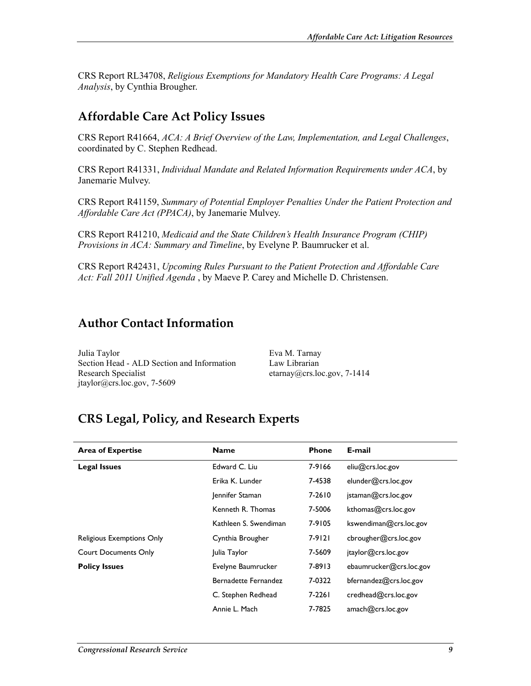CRS Report RL34708, *Religious Exemptions for Mandatory Health Care Programs: A Legal Analysis*, by Cynthia Brougher.

### **Affordable Care Act Policy Issues**

CRS Report R41664, *ACA: A Brief Overview of the Law, Implementation, and Legal Challenges*, coordinated by C. Stephen Redhead.

CRS Report R41331, *Individual Mandate and Related Information Requirements under ACA*, by Janemarie Mulvey.

CRS Report R41159, *Summary of Potential Employer Penalties Under the Patient Protection and Affordable Care Act (PPACA)*, by Janemarie Mulvey.

CRS Report R41210, *Medicaid and the State Children's Health Insurance Program (CHIP) Provisions in ACA: Summary and Timeline*, by Evelyne P. Baumrucker et al.

CRS Report R42431, *Upcoming Rules Pursuant to the Patient Protection and Affordable Care Act: Fall 2011 Unified Agenda* , by Maeve P. Carey and Michelle D. Christensen.

### **Author Contact Information**

Julia Taylor Section Head - ALD Section and Information Research Specialist jtaylor@crs.loc.gov, 7-5609

Eva M. Tarnay Law Librarian etarnay@crs.loc.gov, 7-1414

## **CRS Legal, Policy, and Research Experts**

| <b>Area of Expertise</b>    | <b>Name</b>                 | <b>Phone</b> | E-mail                  |
|-----------------------------|-----------------------------|--------------|-------------------------|
| <b>Legal Issues</b>         | Edward C. Liu               | 7-9166       | eliu@crs.loc.gov        |
|                             | Erika K. Lunder             | 7-4538       | elunder@crs.loc.gov     |
|                             | Jennifer Staman             | 7-2610       | istaman@crs.loc.gov     |
|                             | Kenneth R. Thomas           | 7-5006       | kthomas@crs.loc.gov     |
|                             | Kathleen S. Swendiman       | 7-9105       | kswendiman@crs.loc.gov  |
| Religious Exemptions Only   | Cynthia Brougher            | 7-9121       | cbrougher@crs.loc.gov   |
| <b>Court Documents Only</b> | Julia Taylor                | 7-5609       | jtaylor@crs.loc.gov     |
| <b>Policy Issues</b>        | Evelyne Baumrucker          | 7-8913       | ebaumrucker@crs.loc.gov |
|                             | <b>Bernadette Fernandez</b> | 7-0322       | bfernandez@crs.loc.gov  |
|                             | C. Stephen Redhead          | 7-2261       | credhead@crs.loc.gov    |
|                             | Annie L. Mach               | 7-7825       | amach@crs.loc.gov       |